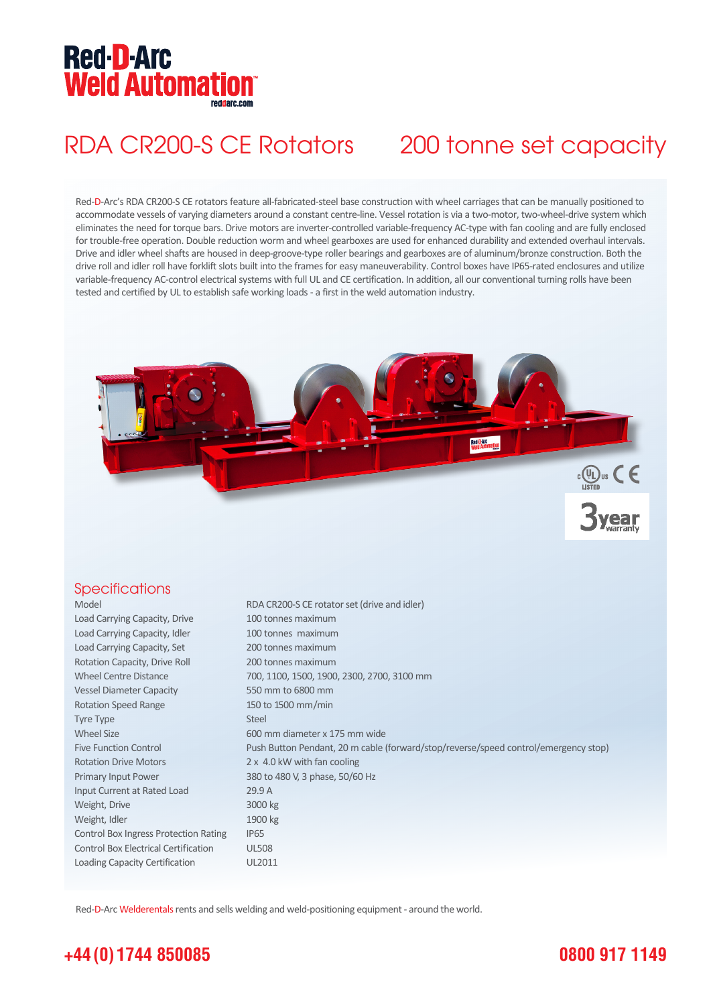# **Red-D-Arc Weld Automation®**

## RDA CR200-S CE Rotators 200 tonne set capacity

Red-D-Arc's RDA CR200-S CE rotators feature all-fabricated-steel base construction with wheel carriages that can be manually positioned to accommodate vessels of varying diameters around a constant centre-line. Vessel rotation is via a two-motor, two-wheel-drive system which eliminates the need for torque bars. Drive motors are inverter-controlled variable-frequency AC-type with fan cooling and are fully enclosed for trouble-free operation. Double reduction worm and wheel gearboxes are used for enhanced durability and extended overhaul intervals. Drive and idler wheel shafts are housed in deep-groove-type roller bearings and gearboxes are of aluminum/bronze construction. Both the drive roll and idler roll have forklift slots built into the frames for easy maneuverability. Control boxes have IP65-rated enclosures and utilize variable-frequency AC-control electrical systems with full UL and CE certification. In addition, all our conventional turning rolls have been tested and certified by UL to establish safe working loads - a first in the weld automation industry.



#### **Specifications**

| Model                                        | RDA CR200-S CE rotator set (drive and idler)                                        |
|----------------------------------------------|-------------------------------------------------------------------------------------|
| Load Carrying Capacity, Drive                | 100 tonnes maximum                                                                  |
| Load Carrying Capacity, Idler                | 100 tonnes maximum                                                                  |
| Load Carrying Capacity, Set                  | 200 tonnes maximum                                                                  |
| Rotation Capacity, Drive Roll                | 200 tonnes maximum                                                                  |
| <b>Wheel Centre Distance</b>                 | 700, 1100, 1500, 1900, 2300, 2700, 3100 mm                                          |
| <b>Vessel Diameter Capacity</b>              | 550 mm to 6800 mm                                                                   |
| <b>Rotation Speed Range</b>                  | 150 to 1500 mm/min                                                                  |
| Tyre Type                                    | Steel                                                                               |
| <b>Wheel Size</b>                            | 600 mm diameter x 175 mm wide                                                       |
| <b>Five Function Control</b>                 | Push Button Pendant, 20 m cable (forward/stop/reverse/speed control/emergency stop) |
| <b>Rotation Drive Motors</b>                 | 2 x 4.0 kW with fan cooling                                                         |
| Primary Input Power                          | 380 to 480 V, 3 phase, 50/60 Hz                                                     |
| Input Current at Rated Load                  | 29.9A                                                                               |
| Weight, Drive                                | 3000 kg                                                                             |
| Weight, Idler                                | 1900 kg                                                                             |
| <b>Control Box Ingress Protection Rating</b> | <b>IP65</b>                                                                         |
| <b>Control Box Electrical Certification</b>  | <b>UL508</b>                                                                        |
| Loading Capacity Certification               | UL2011                                                                              |

Red-D-Arc Welderentals rents and sells welding and weld-positioning equipment - around the world.

### **+44 (0) 1744 850085**

### **0800 917 1149**